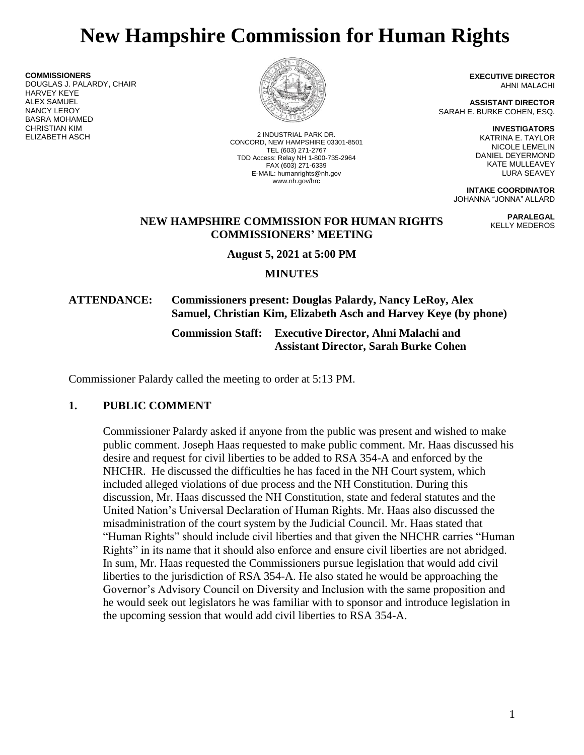# **New Hampshire Commission for Human Rights**

**COMMISSIONERS** DOUGLAS J. PALARDY, CHAIR HARVEY KEYE ALEX SAMUEL NANCY LEROY BASRA MOHAMED CHRISTIAN KIM ELIZABETH ASCH 2 INDUSTRIAL PARK DR.



CONCORD, NEW HAMPSHIRE 03301-8501 TEL (603) 271-2767 TDD Access: Relay NH 1-800-735-2964 FAX (603) 271-6339 E-MAIL: humanrights@nh.gov www.nh.gov/hrc

**EXECUTIVE DIRECTOR** AHNI MALACHI

**ASSISTANT DIRECTOR** SARAH E. BURKE COHEN, ESQ.

> **INVESTIGATORS** KATRINA E. TAYLOR NICOLE LEMELIN DANIEL DEYERMOND KATE MULLEAVEY LURA SEAVEY

> > **PARALEGAL** KELLY MEDEROS

**INTAKE COORDINATOR** JOHANNA "JONNA" ALLARD

### **NEW HAMPSHIRE COMMISSION FOR HUMAN RIGHTS COMMISSIONERS' MEETING**

**August 5, 2021 at 5:00 PM**

**MINUTES**

# **ATTENDANCE: Commissioners present: Douglas Palardy, Nancy LeRoy, Alex Samuel, Christian Kim, Elizabeth Asch and Harvey Keye (by phone)**

**Commission Staff: Executive Director, Ahni Malachi and Assistant Director, Sarah Burke Cohen**

Commissioner Palardy called the meeting to order at 5:13 PM.

# **1. PUBLIC COMMENT**

Commissioner Palardy asked if anyone from the public was present and wished to make public comment. Joseph Haas requested to make public comment. Mr. Haas discussed his desire and request for civil liberties to be added to RSA 354-A and enforced by the NHCHR. He discussed the difficulties he has faced in the NH Court system, which included alleged violations of due process and the NH Constitution. During this discussion, Mr. Haas discussed the NH Constitution, state and federal statutes and the United Nation's Universal Declaration of Human Rights. Mr. Haas also discussed the misadministration of the court system by the Judicial Council. Mr. Haas stated that "Human Rights" should include civil liberties and that given the NHCHR carries "Human Rights" in its name that it should also enforce and ensure civil liberties are not abridged. In sum, Mr. Haas requested the Commissioners pursue legislation that would add civil liberties to the jurisdiction of RSA 354-A. He also stated he would be approaching the Governor's Advisory Council on Diversity and Inclusion with the same proposition and he would seek out legislators he was familiar with to sponsor and introduce legislation in the upcoming session that would add civil liberties to RSA 354-A.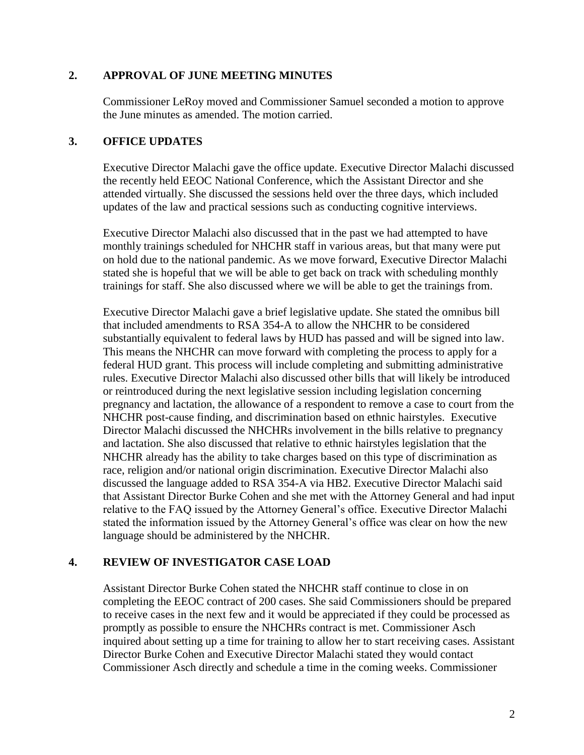#### **2. APPROVAL OF JUNE MEETING MINUTES**

Commissioner LeRoy moved and Commissioner Samuel seconded a motion to approve the June minutes as amended. The motion carried.

#### **3. OFFICE UPDATES**

Executive Director Malachi gave the office update. Executive Director Malachi discussed the recently held EEOC National Conference, which the Assistant Director and she attended virtually. She discussed the sessions held over the three days, which included updates of the law and practical sessions such as conducting cognitive interviews.

Executive Director Malachi also discussed that in the past we had attempted to have monthly trainings scheduled for NHCHR staff in various areas, but that many were put on hold due to the national pandemic. As we move forward, Executive Director Malachi stated she is hopeful that we will be able to get back on track with scheduling monthly trainings for staff. She also discussed where we will be able to get the trainings from.

Executive Director Malachi gave a brief legislative update. She stated the omnibus bill that included amendments to RSA 354-A to allow the NHCHR to be considered substantially equivalent to federal laws by HUD has passed and will be signed into law. This means the NHCHR can move forward with completing the process to apply for a federal HUD grant. This process will include completing and submitting administrative rules. Executive Director Malachi also discussed other bills that will likely be introduced or reintroduced during the next legislative session including legislation concerning pregnancy and lactation, the allowance of a respondent to remove a case to court from the NHCHR post-cause finding, and discrimination based on ethnic hairstyles. Executive Director Malachi discussed the NHCHRs involvement in the bills relative to pregnancy and lactation. She also discussed that relative to ethnic hairstyles legislation that the NHCHR already has the ability to take charges based on this type of discrimination as race, religion and/or national origin discrimination. Executive Director Malachi also discussed the language added to RSA 354-A via HB2. Executive Director Malachi said that Assistant Director Burke Cohen and she met with the Attorney General and had input relative to the FAQ issued by the Attorney General's office. Executive Director Malachi stated the information issued by the Attorney General's office was clear on how the new language should be administered by the NHCHR.

# **4. REVIEW OF INVESTIGATOR CASE LOAD**

Assistant Director Burke Cohen stated the NHCHR staff continue to close in on completing the EEOC contract of 200 cases. She said Commissioners should be prepared to receive cases in the next few and it would be appreciated if they could be processed as promptly as possible to ensure the NHCHRs contract is met. Commissioner Asch inquired about setting up a time for training to allow her to start receiving cases. Assistant Director Burke Cohen and Executive Director Malachi stated they would contact Commissioner Asch directly and schedule a time in the coming weeks. Commissioner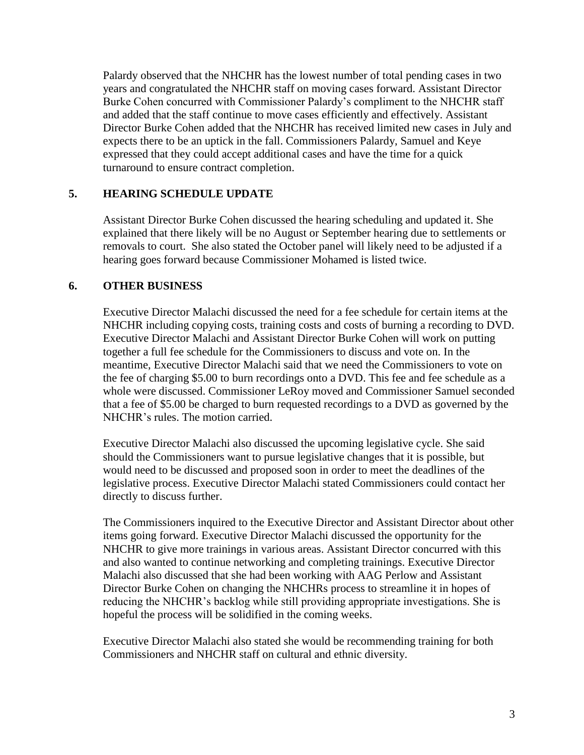Palardy observed that the NHCHR has the lowest number of total pending cases in two years and congratulated the NHCHR staff on moving cases forward. Assistant Director Burke Cohen concurred with Commissioner Palardy's compliment to the NHCHR staff and added that the staff continue to move cases efficiently and effectively. Assistant Director Burke Cohen added that the NHCHR has received limited new cases in July and expects there to be an uptick in the fall. Commissioners Palardy, Samuel and Keye expressed that they could accept additional cases and have the time for a quick turnaround to ensure contract completion.

### **5. HEARING SCHEDULE UPDATE**

Assistant Director Burke Cohen discussed the hearing scheduling and updated it. She explained that there likely will be no August or September hearing due to settlements or removals to court. She also stated the October panel will likely need to be adjusted if a hearing goes forward because Commissioner Mohamed is listed twice.

#### **6. OTHER BUSINESS**

Executive Director Malachi discussed the need for a fee schedule for certain items at the NHCHR including copying costs, training costs and costs of burning a recording to DVD. Executive Director Malachi and Assistant Director Burke Cohen will work on putting together a full fee schedule for the Commissioners to discuss and vote on. In the meantime, Executive Director Malachi said that we need the Commissioners to vote on the fee of charging \$5.00 to burn recordings onto a DVD. This fee and fee schedule as a whole were discussed. Commissioner LeRoy moved and Commissioner Samuel seconded that a fee of \$5.00 be charged to burn requested recordings to a DVD as governed by the NHCHR's rules. The motion carried.

Executive Director Malachi also discussed the upcoming legislative cycle. She said should the Commissioners want to pursue legislative changes that it is possible, but would need to be discussed and proposed soon in order to meet the deadlines of the legislative process. Executive Director Malachi stated Commissioners could contact her directly to discuss further.

The Commissioners inquired to the Executive Director and Assistant Director about other items going forward. Executive Director Malachi discussed the opportunity for the NHCHR to give more trainings in various areas. Assistant Director concurred with this and also wanted to continue networking and completing trainings. Executive Director Malachi also discussed that she had been working with AAG Perlow and Assistant Director Burke Cohen on changing the NHCHRs process to streamline it in hopes of reducing the NHCHR's backlog while still providing appropriate investigations. She is hopeful the process will be solidified in the coming weeks.

Executive Director Malachi also stated she would be recommending training for both Commissioners and NHCHR staff on cultural and ethnic diversity.